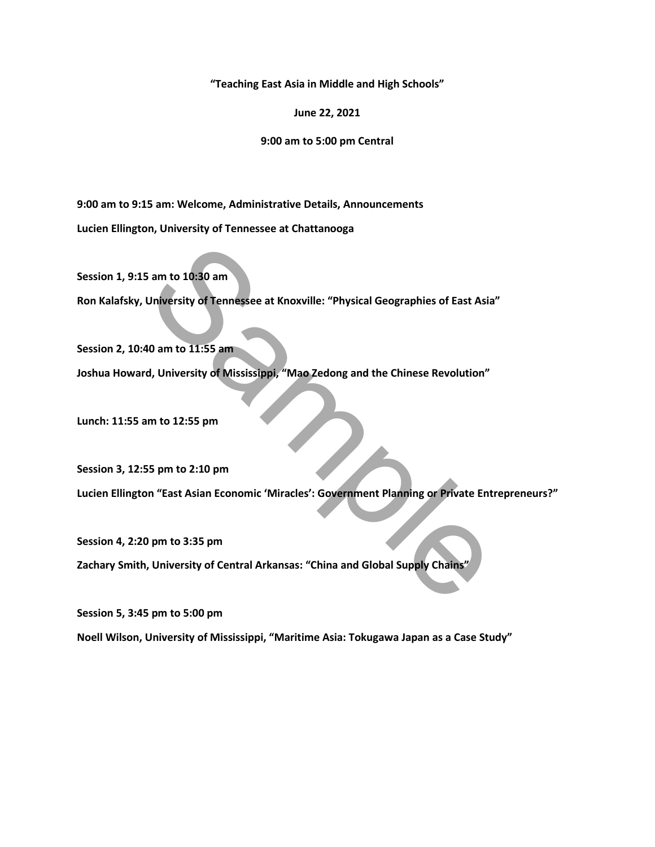**"Teaching East Asia in Middle and High Schools"**

**June 22, 2021** 

**[9:00 am to 5:00 pm Central](https://tennessee.zoom.us/j/96848111810)**

**9:00 am to 9:15 am: Welcome, Administrative Details, Announcements Lucien Ellington, University of Tennessee at Chattanooga**

**Session 1, 9:15 am to 10:30 am**

**Ron Kalafsky, University of Tennessee at Knoxville: "Physical Geographies of East Asia"**

**Session 2, 10:40 am to 11:55 am Joshua Howard, University of Mississippi, "Mao Zedong and the Chinese Revolution"** 

**Lunch: 11:55 am to 12:55 pm**

Sam to 10:30 am<br>
University of Tennessee at Knoxville: "Physical Geographies of East Asia<br>
10 am to 11:55 am<br>
10 am to 11:55 am<br>
10 am to 12:55 pm<br>
15 pm to 2:10 pm<br>
15 pm to 2:10 pm<br>
16 am to 2:10 pm<br>
17 am ("Kiracles": G **Session 3, 12:55 pm to 2:10 pm Lucien Ellington "East Asian Economic 'Miracles': Government Planning or Private Entrepreneurs?"**

**Session 4, 2:20 pm to 3:35 pm Zachary Smith, University of Central Arkansas: "China and Global Supply Chains"**

**Session 5, 3:45 pm to 5:00 pm**

**Noell Wilson, University of Mississippi, "Maritime Asia: Tokugawa Japan as a Case Study"**